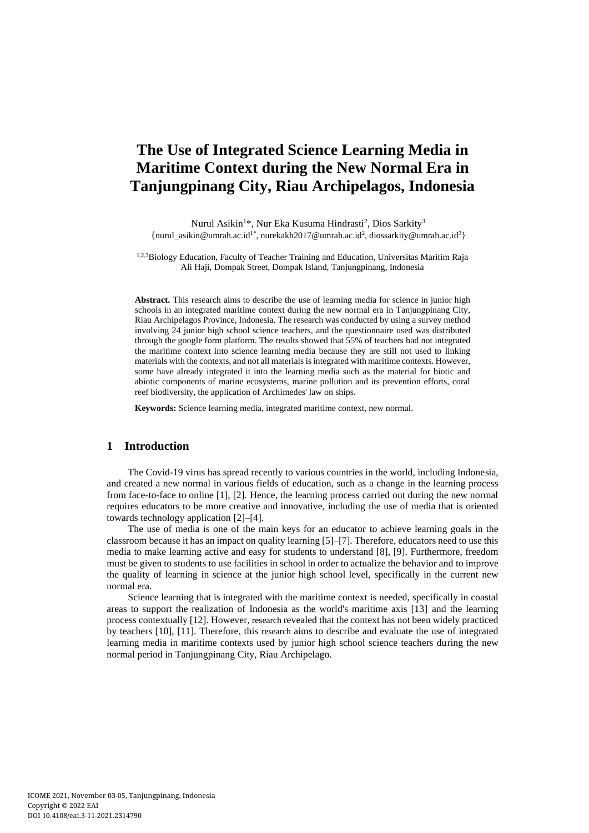# **The Use of Integrated Science Learning Media in Maritime Context during the New Normal Era in Tanjungpinang City, Riau Archipelagos, Indonesia**

Nurul Asikin<sup>1</sup>\*, Nur Eka Kusuma Hindrasti<sup>2</sup>, Dios Sarkity<sup>3</sup> {[nurul\\_asikin@umrah.ac.id](mailto:nurul_asikin@umrah.ac.id)<sup>1\*</sup>[, nurekakh2017@umrah.ac.id](mailto:nurekakh2017@umrah.ac.id)<sup>2</sup>[, diossarkity@umrah.ac.id](mailto:diossarkity@umrah.ac.id)<sup>3</sup>}

<sup>1,2,3</sup>Biology Education, Faculty of Teacher Training and Education, Universitas Maritim Raja Ali Haji, Dompak Street, Dompak Island, Tanjungpinang, Indonesia

**Abstract.** This research aims to describe the use of learning media for science in junior high schools in an integrated maritime context during the new normal era in Tanjungpinang City, Riau Archipelagos Province, Indonesia. The research was conducted by using a survey method involving 24 junior high school science teachers, and the questionnaire used was distributed through the google form platform. The results showed that 55% of teachers had not integrated the maritime context into science learning media because they are still not used to linking materials with the contexts, and not all materials is integrated with maritime contexts. However, some have already integrated it into the learning media such as the material for biotic and abiotic components of marine ecosystems, marine pollution and its prevention efforts, coral reef biodiversity, the application of Archimedes' law on ships.

**Keywords:** Science learning media, integrated maritime context, new normal.

### **1 Introduction**

The Covid-19 virus has spread recently to various countries in the world, including Indonesia, and created a new normal in various fields of education, such as a change in the learning process from face-to-face to online [1], [2]. Hence, the learning process carried out during the new normal requires educators to be more creative and innovative, including the use of media that is oriented towards technology application [2]–[4].

The use of media is one of the main keys for an educator to achieve learning goals in the classroom because it has an impact on quality learning [5]–[7]. Therefore, educators need to use this media to make learning active and easy for students to understand [8], [9]. Furthermore, freedom must be given to students to use facilities in school in order to actualize the behavior and to improve the quality of learning in science at the junior high school level, specifically in the current new normal era.

Science learning that is integrated with the maritime context is needed, specifically in coastal areas to support the realization of Indonesia as the world's maritime axis [13] and the learning process contextually [12]. However, research revealed that the context has not been widely practiced by teachers [10], [11]. Therefore, this research aims to describe and evaluate the use of integrated learning media in maritime contexts used by junior high school science teachers during the new normal period in Tanjungpinang City, Riau Archipelago.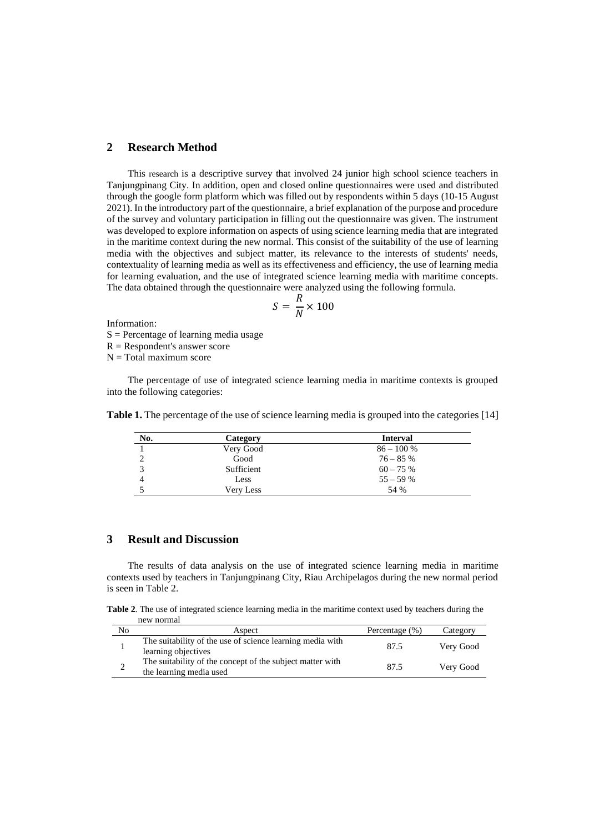### **2 Research Method**

This research is a descriptive survey that involved 24 junior high school science teachers in Tanjungpinang City. In addition, open and closed online questionnaires were used and distributed through the google form platform which was filled out by respondents within 5 days (10-15 August 2021). In the introductory part of the questionnaire, a brief explanation of the purpose and procedure of the survey and voluntary participation in filling out the questionnaire was given. The instrument was developed to explore information on aspects of using science learning media that are integrated in the maritime context during the new normal. This consist of the suitability of the use of learning media with the objectives and subject matter, its relevance to the interests of students' needs, contextuality of learning media as well as its effectiveness and efficiency, the use of learning media for learning evaluation, and the use of integrated science learning media with maritime concepts. The data obtained through the questionnaire were analyzed using the following formula.

$$
S = \frac{R}{N} \times 100
$$

Information:

 $S =$  Percentage of learning media usage

 $R =$ Respondent's answer score

 $N = Total maximum score$ 

The percentage of use of integrated science learning media in maritime contexts is grouped into the following categories:

| No. | Category   | <b>Interval</b> |
|-----|------------|-----------------|
|     | Very Good  | $86 - 100 %$    |
|     | Good       | $76 - 85%$      |
|     | Sufficient | $60 - 75\%$     |
|     | Less       | $55 - 59%$      |
|     | Verv Less  | 54 %            |

**Table 1.** The percentage of the use of science learning media is grouped into the categories [14]

### **3 Result and Discussion**

The results of data analysis on the use of integrated science learning media in maritime contexts used by teachers in Tanjungpinang City, Riau Archipelagos during the new normal period is seen in Table 2.

**Table 2**. The use of integrated science learning media in the maritime context used by teachers during the new normal

| No | Aspect                                                                               | Percentage $(\%)$ | Category  |
|----|--------------------------------------------------------------------------------------|-------------------|-----------|
|    | The suitability of the use of science learning media with<br>learning objectives     | 87.5              | Very Good |
|    | The suitability of the concept of the subject matter with<br>the learning media used | 87.5              | Very Good |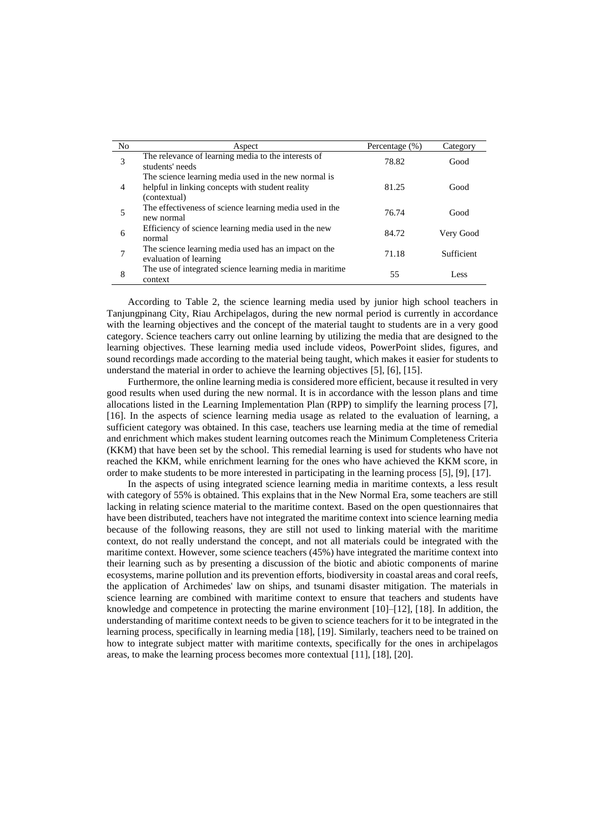| No | Aspect                                                                                                                   | Percentage $(\%)$ | Category   |
|----|--------------------------------------------------------------------------------------------------------------------------|-------------------|------------|
| 3  | The relevance of learning media to the interests of<br>students' needs                                                   | 78.82             | Good       |
| 4  | The science learning media used in the new normal is<br>helpful in linking concepts with student reality<br>(contextual) | 81.25             | Good       |
| 5  | The effectiveness of science learning media used in the<br>new normal                                                    | 76.74             | Good       |
| 6  | Efficiency of science learning media used in the new<br>normal                                                           | 84.72             | Very Good  |
| 7  | The science learning media used has an impact on the<br>evaluation of learning                                           | 71.18             | Sufficient |
| 8  | The use of integrated science learning media in maritime.<br>context                                                     | 55                | Less       |

According to Table 2, the science learning media used by junior high school teachers in Tanjungpinang City, Riau Archipelagos, during the new normal period is currently in accordance with the learning objectives and the concept of the material taught to students are in a very good category. Science teachers carry out online learning by utilizing the media that are designed to the learning objectives. These learning media used include videos, PowerPoint slides, figures, and sound recordings made according to the material being taught, which makes it easier for students to understand the material in order to achieve the learning objectives [5], [6], [15].

Furthermore, the online learning media is considered more efficient, because it resulted in very good results when used during the new normal. It is in accordance with the lesson plans and time allocations listed in the Learning Implementation Plan (RPP) to simplify the learning process [7], [16]. In the aspects of science learning media usage as related to the evaluation of learning, a sufficient category was obtained. In this case, teachers use learning media at the time of remedial and enrichment which makes student learning outcomes reach the Minimum Completeness Criteria (KKM) that have been set by the school. This remedial learning is used for students who have not reached the KKM, while enrichment learning for the ones who have achieved the KKM score, in order to make students to be more interested in participating in the learning process [5], [9], [17].

In the aspects of using integrated science learning media in maritime contexts, a less result with category of 55% is obtained. This explains that in the New Normal Era, some teachers are still lacking in relating science material to the maritime context. Based on the open questionnaires that have been distributed, teachers have not integrated the maritime context into science learning media because of the following reasons, they are still not used to linking material with the maritime context, do not really understand the concept, and not all materials could be integrated with the maritime context. However, some science teachers (45%) have integrated the maritime context into their learning such as by presenting a discussion of the biotic and abiotic components of marine ecosystems, marine pollution and its prevention efforts, biodiversity in coastal areas and coral reefs, the application of Archimedes' law on ships, and tsunami disaster mitigation. The materials in science learning are combined with maritime context to ensure that teachers and students have knowledge and competence in protecting the marine environment [10]–[12], [18]. In addition, the understanding of maritime context needs to be given to science teachers for it to be integrated in the learning process, specifically in learning media [18], [19]. Similarly, teachers need to be trained on how to integrate subject matter with maritime contexts, specifically for the ones in archipelagos areas, to make the learning process becomes more contextual [11], [18], [20].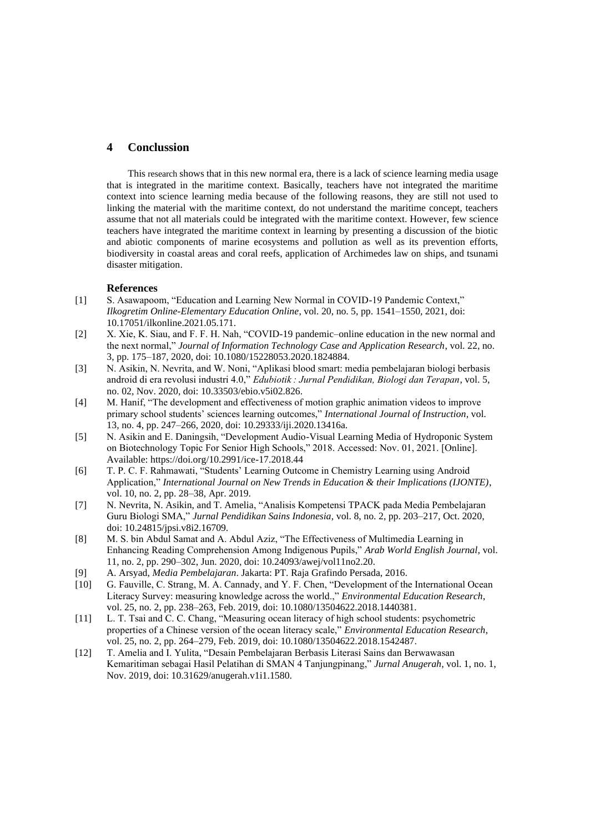## **4 Conclussion**

This research shows that in this new normal era, there is a lack of science learning media usage that is integrated in the maritime context. Basically, teachers have not integrated the maritime context into science learning media because of the following reasons, they are still not used to linking the material with the maritime context, do not understand the maritime concept, teachers assume that not all materials could be integrated with the maritime context. However, few science teachers have integrated the maritime context in learning by presenting a discussion of the biotic and abiotic components of marine ecosystems and pollution as well as its prevention efforts, biodiversity in coastal areas and coral reefs, application of Archimedes law on ships, and tsunami disaster mitigation.

#### **References**

- [1] S. Asawapoom, "Education and Learning New Normal in COVID-19 Pandemic Context," *Ilkogretim Online-Elementary Education Online*, vol. 20, no. 5, pp. 1541–1550, 2021, doi: 10.17051/ilkonline.2021.05.171.
- [2] X. Xie, K. Siau, and F. F. H. Nah, "COVID-19 pandemic–online education in the new normal and the next normal," *Journal of Information Technology Case and Application Research*, vol. 22, no. 3, pp. 175–187, 2020, doi: 10.1080/15228053.2020.1824884.
- [3] N. Asikin, N. Nevrita, and W. Noni, "Aplikasi blood smart: media pembelajaran biologi berbasis android di era revolusi industri 4.0," *Edubiotik : Jurnal Pendidikan, Biologi dan Terapan*, vol. 5, no. 02, Nov. 2020, doi: 10.33503/ebio.v5i02.826.
- [4] M. Hanif, "The development and effectiveness of motion graphic animation videos to improve primary school students' sciences learning outcomes," *International Journal of Instruction*, vol. 13, no. 4, pp. 247–266, 2020, doi: 10.29333/iji.2020.13416a.
- [5] N. Asikin and E. Daningsih, "Development Audio-Visual Learning Media of Hydroponic System on Biotechnology Topic For Senior High Schools," 2018. Accessed: Nov. 01, 2021. [Online]. Available: https://doi.org/10.2991/ice-17.2018.44
- [6] T. P. C. F. Rahmawati, "Students' Learning Outcome in Chemistry Learning using Android Application," *International Journal on New Trends in Education & their Implications (IJONTE)*, vol. 10, no. 2, pp. 28–38, Apr. 2019.
- [7] N. Nevrita, N. Asikin, and T. Amelia, "Analisis Kompetensi TPACK pada Media Pembelajaran Guru Biologi SMA," *Jurnal Pendidikan Sains Indonesia*, vol. 8, no. 2, pp. 203–217, Oct. 2020, doi: 10.24815/jpsi.v8i2.16709.
- [8] M. S. bin Abdul Samat and A. Abdul Aziz, "The Effectiveness of Multimedia Learning in Enhancing Reading Comprehension Among Indigenous Pupils," *Arab World English Journal*, vol. 11, no. 2, pp. 290–302, Jun. 2020, doi: 10.24093/awej/vol11no2.20.
- [9] A. Arsyad, *Media Pembelajaran*. Jakarta: PT. Raja Grafindo Persada, 2016.
- [10] G. Fauville, C. Strang, M. A. Cannady, and Y. F. Chen, "Development of the International Ocean Literacy Survey: measuring knowledge across the world.," *Environmental Education Research*, vol. 25, no. 2, pp. 238–263, Feb. 2019, doi: 10.1080/13504622.2018.1440381.
- [11] L. T. Tsai and C. C. Chang, "Measuring ocean literacy of high school students: psychometric properties of a Chinese version of the ocean literacy scale," *Environmental Education Research*, vol. 25, no. 2, pp. 264–279, Feb. 2019, doi: 10.1080/13504622.2018.1542487.
- [12] T. Amelia and I. Yulita, "Desain Pembelajaran Berbasis Literasi Sains dan Berwawasan Kemaritiman sebagai Hasil Pelatihan di SMAN 4 Tanjungpinang," *Jurnal Anugerah*, vol. 1, no. 1, Nov. 2019, doi: 10.31629/anugerah.v1i1.1580.